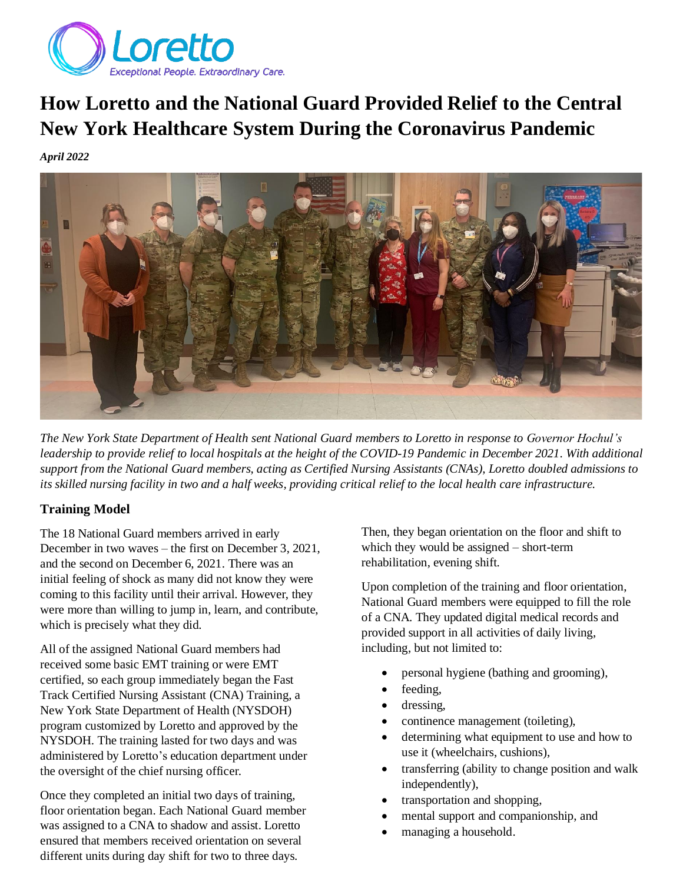

# **How Loretto and the National Guard Provided Relief to the Central New York Healthcare System During the Coronavirus Pandemic**

*April 2022*



*The New York State Department of Health sent National Guard members to Loretto in response to Governor Hochul's leadership to provide relief to local hospitals at the height of the COVID-19 Pandemic in December 2021. With additional support from the National Guard members, acting as Certified Nursing Assistants (CNAs), Loretto doubled admissions to its skilled nursing facility in two and a half weeks, providing critical relief to the local health care infrastructure.*

# **Training Model**

The 18 National Guard members arrived in early December in two waves – the first on December 3, 2021, and the second on December 6, 2021. There was an initial feeling of shock as many did not know they were coming to this facility until their arrival. However, they were more than willing to jump in, learn, and contribute, which is precisely what they did.

All of the assigned National Guard members had received some basic EMT training or were EMT certified, so each group immediately began the Fast Track Certified Nursing Assistant (CNA) Training, a New York State Department of Health (NYSDOH) program customized by Loretto and approved by the NYSDOH. The training lasted for two days and was administered by Loretto's education department under the oversight of the chief nursing officer.

Once they completed an initial two days of training, floor orientation began. Each National Guard member was assigned to a CNA to shadow and assist. Loretto ensured that members received orientation on several different units during day shift for two to three days.

Then, they began orientation on the floor and shift to which they would be assigned – short-term rehabilitation, evening shift.

Upon completion of the training and floor orientation, National Guard members were equipped to fill the role of a CNA. They updated digital medical records and provided support in all activities of daily living, including, but not limited to:

- personal hygiene (bathing and grooming),
- feeding,
- dressing,
- continence management (toileting),
- determining what equipment to use and how to use it (wheelchairs, cushions),
- transferring (ability to change position and walk independently),
- transportation and shopping,
- mental support and companionship, and
- managing a household.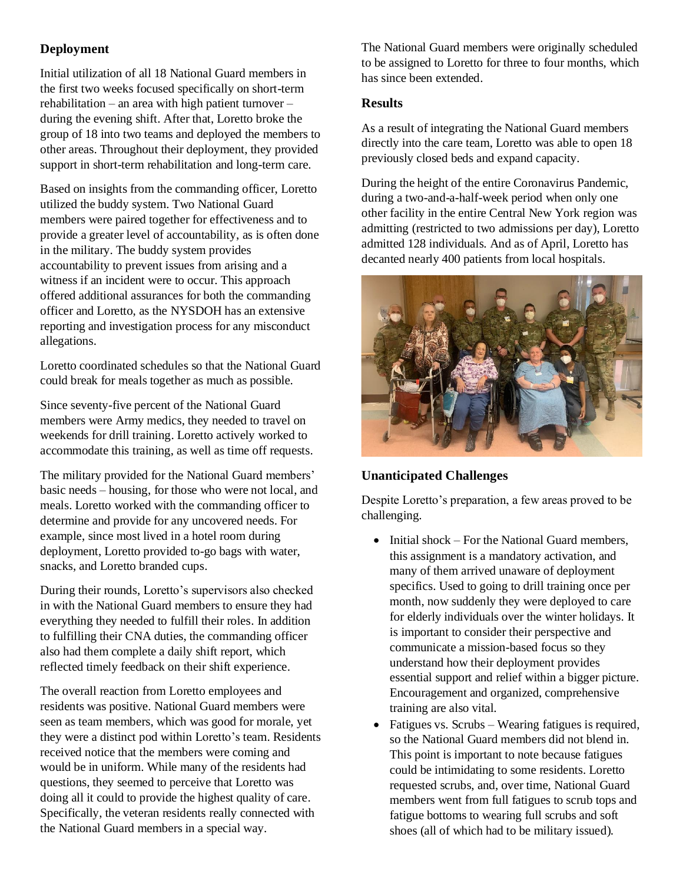# **Deployment**

Initial utilization of all 18 National Guard members in the first two weeks focused specifically on short-term rehabilitation – an area with high patient turnover – during the evening shift. After that, Loretto broke the group of 18 into two teams and deployed the members to other areas. Throughout their deployment, they provided support in short-term rehabilitation and long-term care.

Based on insights from the commanding officer, Loretto utilized the buddy system. Two National Guard members were paired together for effectiveness and to provide a greater level of accountability, as is often done in the military. The buddy system provides accountability to prevent issues from arising and a witness if an incident were to occur. This approach offered additional assurances for both the commanding officer and Loretto, as the NYSDOH has an extensive reporting and investigation process for any misconduct allegations.

Loretto coordinated schedules so that the National Guard could break for meals together as much as possible.

Since seventy-five percent of the National Guard members were Army medics, they needed to travel on weekends for drill training. Loretto actively worked to accommodate this training, as well as time off requests.

The military provided for the National Guard members' basic needs – housing, for those who were not local, and meals. Loretto worked with the commanding officer to determine and provide for any uncovered needs. For example, since most lived in a hotel room during deployment, Loretto provided to-go bags with water, snacks, and Loretto branded cups.

During their rounds, Loretto's supervisors also checked in with the National Guard members to ensure they had everything they needed to fulfill their roles. In addition to fulfilling their CNA duties, the commanding officer also had them complete a daily shift report, which reflected timely feedback on their shift experience.

The overall reaction from Loretto employees and residents was positive. National Guard members were seen as team members, which was good for morale, yet they were a distinct pod within Loretto's team. Residents received notice that the members were coming and would be in uniform. While many of the residents had questions, they seemed to perceive that Loretto was doing all it could to provide the highest quality of care. Specifically, the veteran residents really connected with the National Guard members in a special way.

The National Guard members were originally scheduled to be assigned to Loretto for three to four months, which has since been extended.

### **Results**

As a result of integrating the National Guard members directly into the care team, Loretto was able to open 18 previously closed beds and expand capacity.

During the height of the entire Coronavirus Pandemic, during a two-and-a-half-week period when only one other facility in the entire Central New York region was admitting (restricted to two admissions per day), Loretto admitted 128 individuals. And as of April, Loretto has decanted nearly 400 patients from local hospitals.



# **Unanticipated Challenges**

Despite Loretto's preparation, a few areas proved to be challenging.

- Initial shock For the National Guard members. this assignment is a mandatory activation, and many of them arrived unaware of deployment specifics. Used to going to drill training once per month, now suddenly they were deployed to care for elderly individuals over the winter holidays. It is important to consider their perspective and communicate a mission-based focus so they understand how their deployment provides essential support and relief within a bigger picture. Encouragement and organized, comprehensive training are also vital.
- Fatigues vs. Scrubs Wearing fatigues is required, so the National Guard members did not blend in. This point is important to note because fatigues could be intimidating to some residents. Loretto requested scrubs, and, over time, National Guard members went from full fatigues to scrub tops and fatigue bottoms to wearing full scrubs and soft shoes (all of which had to be military issued).